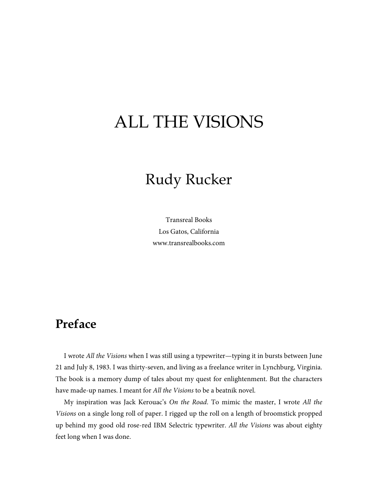## ALL THE VISIONS

## Rudy Rucker

Transreal Books Los Gatos, California www.transrealbooks.com

## **Preface**

I wrote *All the Visions* when I was still using a typewriter—typing it in bursts between June 21 and July 8, 1983. I was thirty-seven, and living as a freelance writer in Lynchburg, Virginia. The book is a memory dump of tales about my quest for enlightenment. But the characters have made-up names. I meant for *All the Visions* to be a beatnik novel.

My inspiration was Jack Kerouac's *On the Road*. To mimic the master, I wrote *All the Visions* on a single long roll of paper. I rigged up the roll on a length of broomstick propped up behind my good old rose-red IBM Selectric typewriter. *All the Visions* was about eighty feet long when I was done.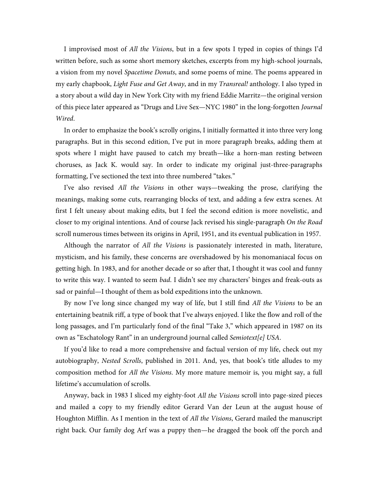I improvised most of *All the Visions*, but in a few spots I typed in copies of things I'd written before, such as some short memory sketches, excerpts from my high-school journals, a vision from my novel *Spacetime Donuts*, and some poems of mine. The poems appeared in my early chapbook, *Light Fuse and Get Away*, and in my *Transreal!* anthology. I also typed in a story about a wild day in New York City with my friend Eddie Marritz—the original version of this piece later appeared as "Drugs and Live Sex—NYC 1980" in the long-forgotten *Journal Wired*.

In order to emphasize the book's scrolly origins, I initially formatted it into three very long paragraphs. But in this second edition, I've put in more paragraph breaks, adding them at spots where I might have paused to catch my breath—like a horn-man resting between choruses, as Jack K. would say. In order to indicate my original just-three-paragraphs formatting, I've sectioned the text into three numbered "takes."

I've also revised *All the Visions* in other ways—tweaking the prose, clarifying the meanings, making some cuts, rearranging blocks of text, and adding a few extra scenes. At first I felt uneasy about making edits, but I feel the second edition is more novelistic, and closer to my original intentions. And of course Jack revised his single-paragraph *On the Road* scroll numerous times between its origins in April, 1951, and its eventual publication in 1957.

Although the narrator of *All the Visions* is passionately interested in math, literature, mysticism, and his family, these concerns are overshadowed by his monomaniacal focus on getting high. In 1983, and for another decade or so after that, I thought it was cool and funny to write this way. I wanted to seem *bad*. I didn't see my characters' binges and freak-outs as sad or painful—I thought of them as bold expeditions into the unknown.

By now I've long since changed my way of life, but I still find *All the Visions* to be an entertaining beatnik riff, a type of book that I've always enjoyed. I like the flow and roll of the long passages, and I'm particularly fond of the final "Take 3," which appeared in 1987 on its own as "Eschatology Rant" in an underground journal called *Semiotext[e] USA*.

If you'd like to read a more comprehensive and factual version of my life, check out my autobiography, *Nested Scrolls*, published in 2011. And, yes, that book's title alludes to my composition method for *All the Visions*. My more mature memoir is, you might say, a full lifetime's accumulation of scrolls.

Anyway, back in 1983 I sliced my eighty-foot *All the Visions* scroll into page-sized pieces and mailed a copy to my friendly editor Gerard Van der Leun at the august house of Houghton Mifflin. As I mention in the text of *All the Visions*, Gerard mailed the manuscript right back. Our family dog Arf was a puppy then—he dragged the book off the porch and